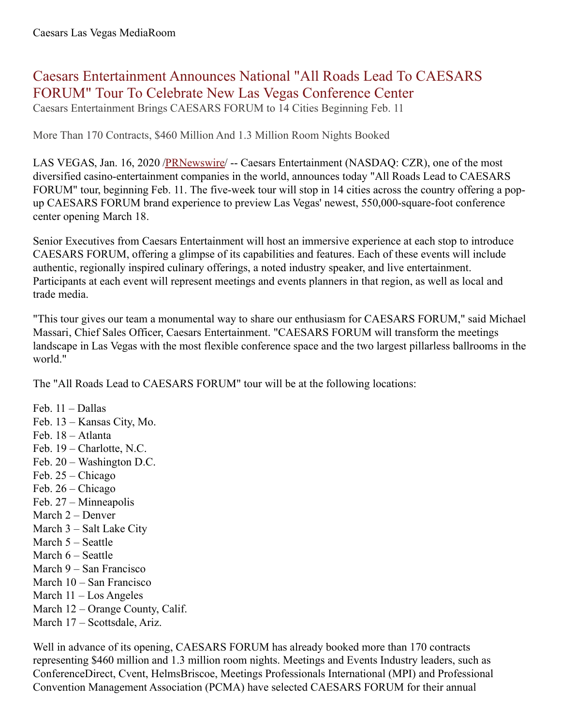# Caesars Entertainment Announces National "All Roads Lead To CAESARS FORUM" Tour To Celebrate New Las Vegas Conference Center

Caesars Entertainment Brings CAESARS FORUM to 14 Cities Beginning Feb. 11

More Than 170 Contracts, \$460 Million And 1.3 Million Room Nights Booked

LAS VEGAS, Jan. 16, 2020 [/PRNewswire](http://www.prnewswire.com/)/ -- Caesars Entertainment (NASDAQ: CZR), one of the most diversified casino-entertainment companies in the world, announces today "All Roads Lead to CAESARS FORUM" tour, beginning Feb. 11. The five-week tour will stop in 14 cities across the country offering a popup CAESARS FORUM brand experience to preview Las Vegas' newest, 550,000-square-foot conference center opening March 18.

Senior Executives from Caesars Entertainment will host an immersive experience at each stop to introduce CAESARS FORUM, offering a glimpse of its capabilities and features. Each of these events will include authentic, regionally inspired culinary offerings, a noted industry speaker, and live entertainment. Participants at each event will represent meetings and events planners in that region, as well as local and trade media.

"This tour gives our team a monumental way to share our enthusiasm for CAESARS FORUM," said Michael Massari, Chief Sales Officer, Caesars Entertainment. "CAESARS FORUM will transform the meetings landscape in Las Vegas with the most flexible conference space and the two largest pillarless ballrooms in the world."

The "All Roads Lead to CAESARS FORUM" tour will be at the following locations:

Feb. 11 – Dallas Feb. 13 – Kansas City, Mo. Feb. 18 – Atlanta Feb. 19 – Charlotte, N.C. Feb. 20 – Washington D.C. Feb. 25 – Chicago Feb. 26 – Chicago Feb. 27 – Minneapolis March 2 – Denver March 3 – Salt Lake City March 5 – Seattle March 6 – Seattle March 9 – San Francisco March 10 – San Francisco March 11 – Los Angeles March 12 – Orange County, Calif. March 17 – Scottsdale, Ariz.

Well in advance of its opening, CAESARS FORUM has already booked more than 170 contracts representing \$460 million and 1.3 million room nights. Meetings and Events Industry leaders, such as ConferenceDirect, Cvent, HelmsBriscoe, Meetings Professionals International (MPI) and Professional Convention Management Association (PCMA) have selected CAESARS FORUM for their annual